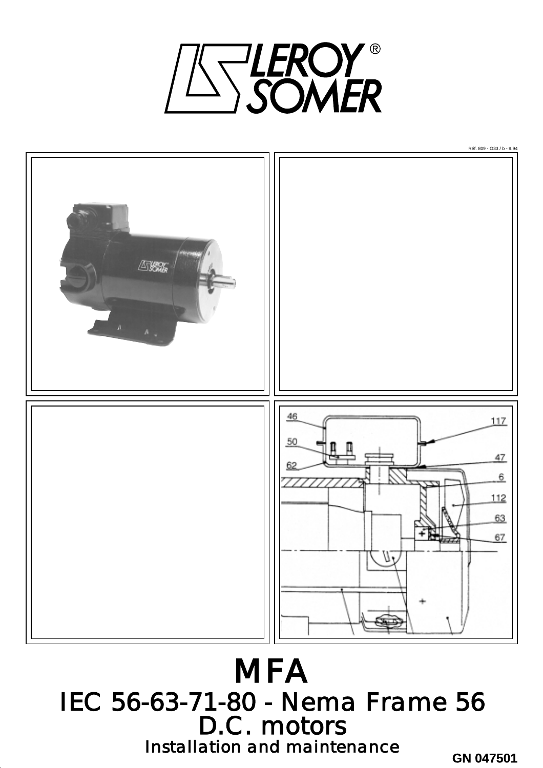

Réf. 809 - O33 / b - 9.94 不安 46 117 50 47 6 112 63 67

**MFA** IEC 56-63-71-80 - Nema Frame 56 D.C. motors Installation and maintenance

**GN 047501**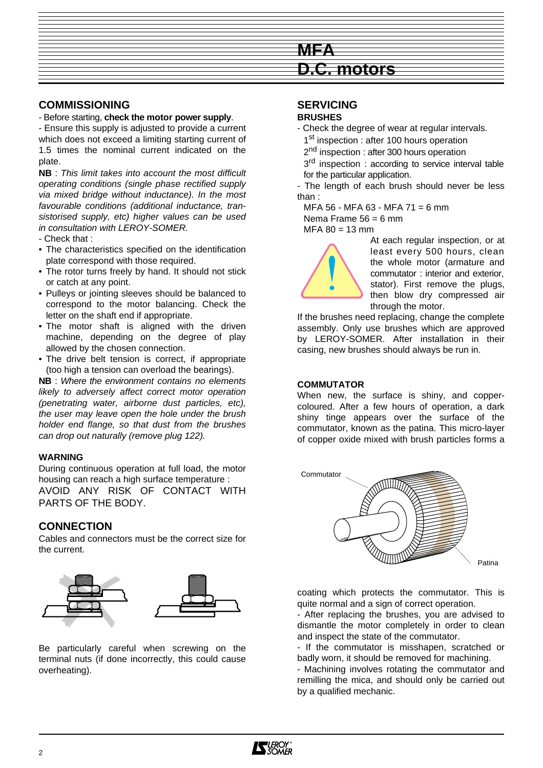

# **COMMISSIONING**

- Before starting, **check the motor power supply**.

- Ensure this supply is adjusted to provide a current which does not exceed a limiting starting current of 1.5 times the nominal current indicated on the plate.

**NB** : This limit takes into account the most difficult operating conditions (single phase rectified supply via mixed bridge without inductance). In the most favourable conditions (additional inductance, transistorised supply, etc) higher values can be used in consultation with LEROY-SOMER.

- Check that :

- The characteristics specified on the identification plate correspond with those required.
- The rotor turns freely by hand. It should not stick or catch at any point.
- Pulleys or jointing sleeves should be balanced to correspond to the motor balancing. Check the letter on the shaft end if appropriate.
- The motor shaft is aligned with the driven machine, depending on the degree of play allowed by the chosen connection.
- The drive belt tension is correct, if appropriate (too high a tension can overload the bearings).

**NB** : Where the environment contains no elements likely to adversely affect correct motor operation (penetrating water, airborne dust particles, etc), the user may leave open the hole under the brush holder end flange, so that dust from the brushes can drop out naturally (remove plug 122).

## **WARNING**

During continuous operation at full load, the motor housing can reach a high surface temperature : AVOID ANY RISK OF CONTACT WITH PARTS OF THE BODY.

# **CONNECTION**

Cables and connectors must be the correct size for the current.



Be particularly careful when screwing on the terminal nuts (if done incorrectly, this could cause overheating).

# **SERVICING**

#### **BRUSHES**

- Check the degree of wear at regular intervals. 1<sup>st</sup> inspection : after 100 hours operation
	- 2<sup>nd</sup> inspection : after 300 hours operation

3<sup>rd</sup> inspection : according to service interval table for the particular application.

- The length of each brush should never be less than :

 $MFA 56 - MFA 63 - MFA 71 = 6 mm$ 

Nema Frame  $56 = 6$  mm

 $MFA 80 = 13 mm$ 

At each regular inspection, or at least every 500 hours, clean the whole motor (armature and commutator : interior and exterior, stator). First remove the plugs, then blow dry compressed air through the motor.

If the brushes need replacing, change the complete assembly. Only use brushes which are approved by LEROY-SOMER. After installation in their casing, new brushes should always be run in.

## **COMMUTATOR**

When new, the surface is shiny, and coppercoloured. After a few hours of operation, a dark shiny tinge appears over the surface of the commutator, known as the patina. This micro-layer of copper oxide mixed with brush particles forms a



Patina

coating which protects the commutator. This is quite normal and a sign of correct operation.

- After replacing the brushes, you are advised to dismantle the motor completely in order to clean and inspect the state of the commutator.

- If the commutator is misshapen, scratched or badly worn, it should be removed for machining.

- Machining involves rotating the commutator and remilling the mica, and should only be carried out by a qualified mechanic.

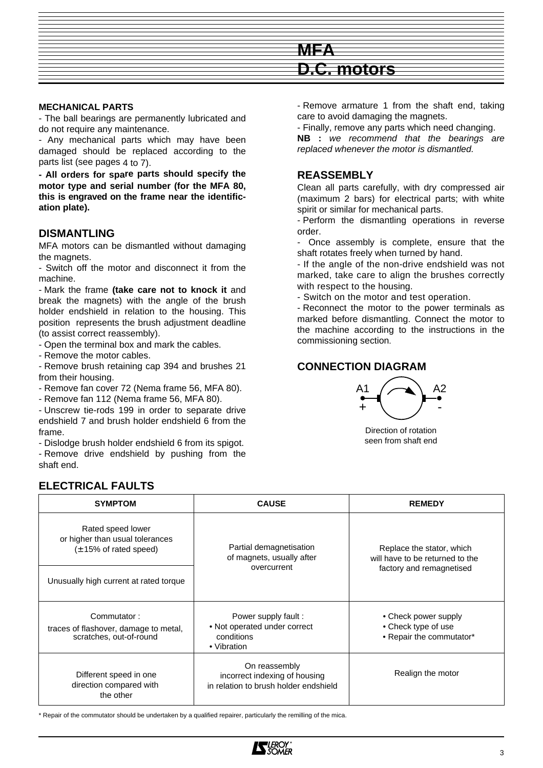

#### **MECHANICAL PARTS**

- The ball bearings are permanently lubricated and do not require any maintenance.

- Any mechanical parts which may have been damaged should be replaced according to the parts list (see pages 4 to 7).

**- All orders for spare parts should specify the motor type and serial number (for the MFA 80, this is engraved on the frame near the identification plate).**

#### **DISMANTLING**

MFA motors can be dismantled without damaging the magnets.

- Switch off the motor and disconnect it from the machine.

- Mark the frame **(take care not to knock it** and break the magnets) with the angle of the brush holder endshield in relation to the housing. This position represents the brush adjustment deadline (to assist correct reassembly).

- Open the terminal box and mark the cables.

- Remove the motor cables.

- Remove brush retaining cap 394 and brushes 21 from their housing.

- Remove fan cover 72 (Nema frame 56, MFA 80).

- Remove fan 112 (Nema frame 56, MFA 80).

- Unscrew tie-rods 199 in order to separate drive endshield 7 and brush holder endshield 6 from the frame.

- Dislodge brush holder endshield 6 from its spigot.

- Remove drive endshield by pushing from the shaft end.

- Remove armature 1 from the shaft end, taking care to avoid damaging the magnets.

- Finally, remove any parts which need changing. **NB :** we recommend that the bearings are replaced whenever the motor is dismantled.

## **REASSEMBLY**

Clean all parts carefully, with dry compressed air (maximum 2 bars) for electrical parts; with white spirit or similar for mechanical parts.

- Perform the dismantling operations in reverse order.

- Once assembly is complete, ensure that the shaft rotates freely when turned by hand.

- If the angle of the non-drive endshield was not marked, take care to align the brushes correctly with respect to the housing.

- Switch on the motor and test operation.

- Reconnect the motor to the power terminals as marked before dismantling. Connect the motor to the machine according to the instructions in the commissioning section.

# **CONNECTION DIAGRAM**



Direction of rotation seen from shaft end

## **ELECTRICAL FAULTS**

| <b>SYMPTOM</b>                                                                                                                                            | <b>CAUSE</b>                                                                     | <b>REMEDY</b>                                                                            |  |
|-----------------------------------------------------------------------------------------------------------------------------------------------------------|----------------------------------------------------------------------------------|------------------------------------------------------------------------------------------|--|
| Rated speed lower<br>or higher than usual tolerances<br>$(\pm 15\% \text{ of rated speed})$                                                               | Partial demagnetisation<br>of magnets, usually after                             | Replace the stator, which<br>will have to be returned to the<br>factory and remagnetised |  |
| Unusually high current at rated torque                                                                                                                    | overcurrent                                                                      |                                                                                          |  |
| Commutator:<br>traces of flashover, damage to metal,<br>scratches, out-of-round                                                                           | Power supply fault:<br>• Not operated under correct<br>conditions<br>• Vibration | • Check power supply<br>• Check type of use<br>• Repair the commutator*                  |  |
| On reassembly<br>Different speed in one<br>incorrect indexing of housing<br>direction compared with<br>in relation to brush holder endshield<br>the other |                                                                                  | Realign the motor                                                                        |  |

\* Repair of the commutator should be undertaken by a qualified repairer, particularly the remilling of the mica.

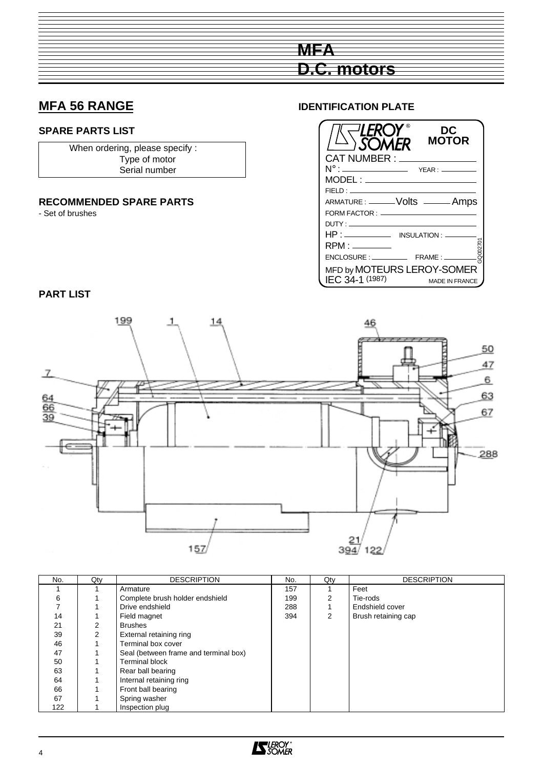# **MFA 56 RANGE**

## **SPARE PARTS LIST**

When ordering, please specify : Type of motor Serial number

## **RECOMMENDED SPARE PARTS**

- Set of brushes

## **IDENTIFICATION PLATE**

**D.C. motors**

**MFA**



**PART LIST**



| No. | Qty | <b>DESCRIPTION</b>                    | No. | Qty | <b>DESCRIPTION</b>  |
|-----|-----|---------------------------------------|-----|-----|---------------------|
|     |     | Armature                              | 157 |     | Feet                |
| 6   |     | Complete brush holder endshield       | 199 | 2   | Tie-rods            |
|     |     | Drive endshield                       | 288 |     | Endshield cover     |
| 14  |     | Field magnet                          | 394 | 2   | Brush retaining cap |
| 21  | 2   | <b>Brushes</b>                        |     |     |                     |
| 39  | 2   | External retaining ring               |     |     |                     |
| 46  |     | Terminal box cover                    |     |     |                     |
| 47  |     | Seal (between frame and terminal box) |     |     |                     |
| 50  |     | <b>Terminal block</b>                 |     |     |                     |
| 63  |     | Rear ball bearing                     |     |     |                     |
| 64  |     | Internal retaining ring               |     |     |                     |
| 66  |     | Front ball bearing                    |     |     |                     |
| 67  |     | Spring washer                         |     |     |                     |
| 122 |     | Inspection plug                       |     |     |                     |

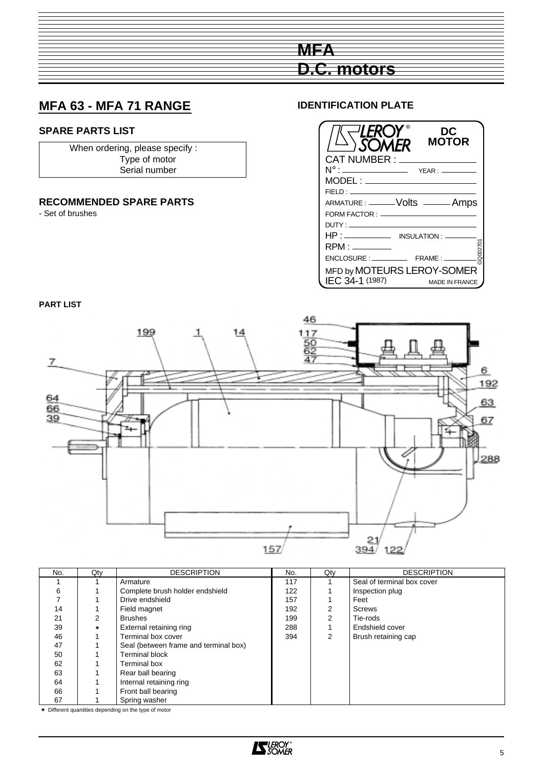# **MFA D.C. motors**

# **MFA 63 - MFA 71 RANGE**

# **SPARE PARTS LIST**

When ordering, please specify : Type of motor Serial number

# **RECOMMENDED SPARE PARTS**

- Set of brushes

## **IDENTIFICATION PLATE**



## **PART LIST**



| No. | Qty    | <b>DESCRIPTION</b>                    | No. | Qty           | <b>DESCRIPTION</b>         |
|-----|--------|---------------------------------------|-----|---------------|----------------------------|
|     |        | Armature                              | 117 |               | Seal of terminal box cover |
| 6   |        | Complete brush holder endshield       | 122 |               | Inspection plug            |
|     |        | Drive endshield                       | 157 |               | Feet                       |
| 14  |        | Field magnet                          | 192 | 2             | <b>Screws</b>              |
| 21  | 2      | <b>Brushes</b>                        | 199 | 2             | Tie-rods                   |
| 39  | $\ast$ | External retaining ring               | 288 |               | Endshield cover            |
| 46  |        | Terminal box cover                    | 394 | $\mathcal{P}$ | Brush retaining cap        |
| 47  |        | Seal (between frame and terminal box) |     |               |                            |
| 50  |        | <b>Terminal block</b>                 |     |               |                            |
| 62  |        | <b>Terminal box</b>                   |     |               |                            |
| 63  |        | Rear ball bearing                     |     |               |                            |
| 64  |        | Internal retaining ring               |     |               |                            |
| 66  |        | Front ball bearing                    |     |               |                            |
| 67  |        | Spring washer                         |     |               |                            |

✷ Different quantities depending on the type of motor

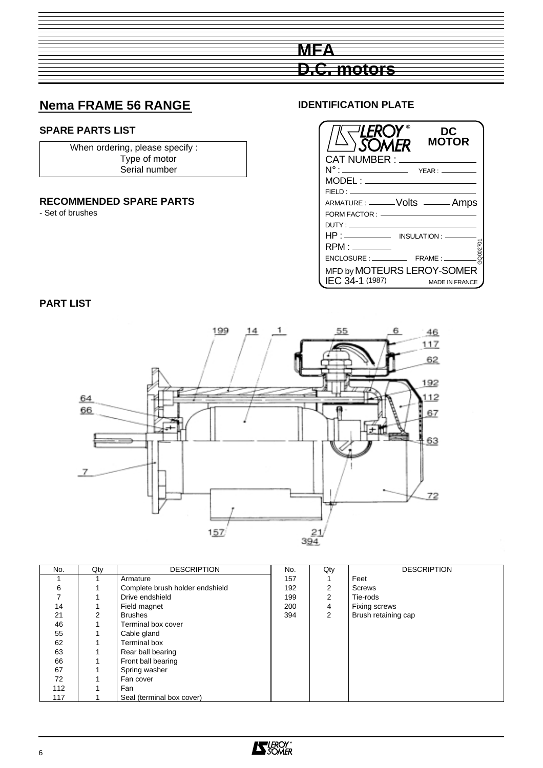

# **Nema FRAME 56 RANGE**

# **SPARE PARTS LIST**

When ordering, please specify : Type of motor Serial number

## **RECOMMENDED SPARE PARTS**

- Set of brushes

## **IDENTIFICATION PLATE**



# **PART LIST**



| No. | Qty | <b>DESCRIPTION</b>              | No. | Qty | <b>DESCRIPTION</b>  |
|-----|-----|---------------------------------|-----|-----|---------------------|
|     |     | Armature                        | 157 |     | Feet                |
| 6   |     | Complete brush holder endshield | 192 | 2   | Screws              |
|     |     | Drive endshield                 | 199 | 2   | Tie-rods            |
| 14  |     | Field magnet                    | 200 | 4   | Fixing screws       |
| 21  | 2   | <b>Brushes</b>                  | 394 | 2   | Brush retaining cap |
| 46  |     | Terminal box cover              |     |     |                     |
| 55  |     | Cable gland                     |     |     |                     |
| 62  |     | Terminal box                    |     |     |                     |
| 63  |     | Rear ball bearing               |     |     |                     |
| 66  |     | Front ball bearing              |     |     |                     |
| 67  |     | Spring washer                   |     |     |                     |
| 72  |     | Fan cover                       |     |     |                     |
| 112 |     | Fan                             |     |     |                     |
| 117 |     | Seal (terminal box cover)       |     |     |                     |